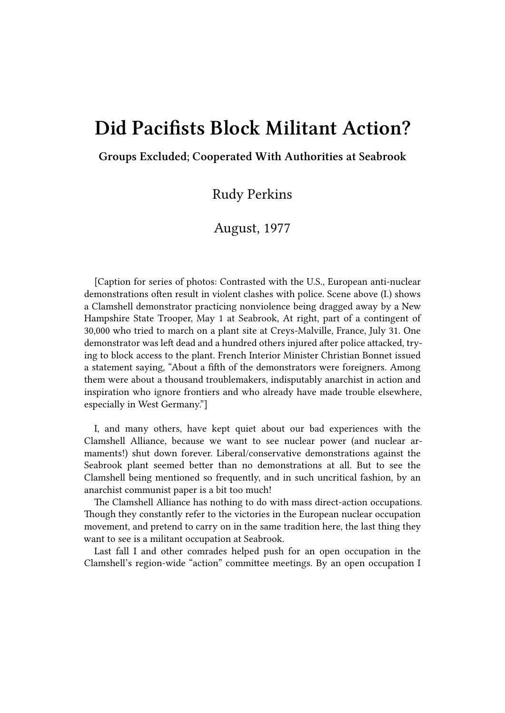## **Did Pacifists Block Militant Action?**

**Groups Excluded; Cooperated With Authorities at Seabrook**

Rudy Perkins

August, 1977

[Caption for series of photos: Contrasted with the U.S., European anti-nuclear demonstrations often result in violent clashes with police. Scene above (I.) shows a Clamshell demonstrator practicing nonviolence being dragged away by a New Hampshire State Trooper, May 1 at Seabrook, At right, part of a contingent of 30,000 who tried to march on a plant site at Creys-Malville, France, July 31. One demonstrator was left dead and a hundred others injured after police attacked, trying to block access to the plant. French Interior Minister Christian Bonnet issued a statement saying, "About a fifth of the demonstrators were foreigners. Among them were about a thousand troublemakers, indisputably anarchist in action and inspiration who ignore frontiers and who already have made trouble elsewhere, especially in West Germany."]

I, and many others, have kept quiet about our bad experiences with the Clamshell Alliance, because we want to see nuclear power (and nuclear armaments!) shut down forever. Liberal/conservative demonstrations against the Seabrook plant seemed better than no demonstrations at all. But to see the Clamshell being mentioned so frequently, and in such uncritical fashion, by an anarchist communist paper is a bit too much!

The Clamshell Alliance has nothing to do with mass direct-action occupations. Though they constantly refer to the victories in the European nuclear occupation movement, and pretend to carry on in the same tradition here, the last thing they want to see is a militant occupation at Seabrook.

Last fall I and other comrades helped push for an open occupation in the Clamshell's region-wide "action" committee meetings. By an open occupation I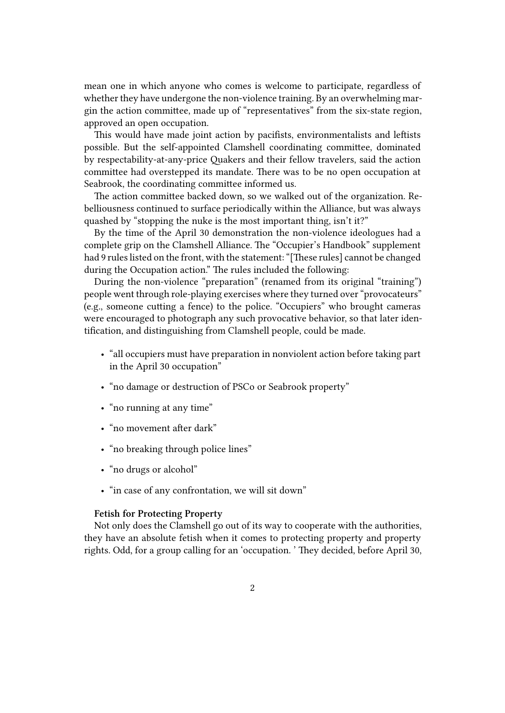mean one in which anyone who comes is welcome to participate, regardless of whether they have undergone the non-violence training. By an overwhelming margin the action committee, made up of "representatives" from the six-state region, approved an open occupation.

This would have made joint action by pacifists, environmentalists and leftists possible. But the self-appointed Clamshell coordinating committee, dominated by respectability-at-any-price Quakers and their fellow travelers, said the action committee had overstepped its mandate. There was to be no open occupation at Seabrook, the coordinating committee informed us.

The action committee backed down, so we walked out of the organization. Rebelliousness continued to surface periodically within the Alliance, but was always quashed by "stopping the nuke is the most important thing, isn't it?"

By the time of the April 30 demonstration the non-violence ideologues had a complete grip on the Clamshell Alliance. The "Occupier's Handbook" supplement had 9 rules listed on the front, with the statement: "[These rules] cannot be changed during the Occupation action." The rules included the following:

During the non-violence "preparation" (renamed from its original "training") people went through role-playing exercises where they turned over "provocateurs" (e.g., someone cutting a fence) to the police. "Occupiers" who brought cameras were encouraged to photograph any such provocative behavior, so that later identification, and distinguishing from Clamshell people, could be made.

- "all occupiers must have preparation in nonviolent action before taking part in the April 30 occupation"
- "no damage or destruction of PSCo or Seabrook property"
- "no running at any time"
- "no movement after dark"
- "no breaking through police lines"
- "no drugs or alcohol"
- "in case of any confrontation, we will sit down"

## **Fetish for Protecting Property**

Not only does the Clamshell go out of its way to cooperate with the authorities, they have an absolute fetish when it comes to protecting property and property rights. Odd, for a group calling for an 'occupation. ' They decided, before April 30,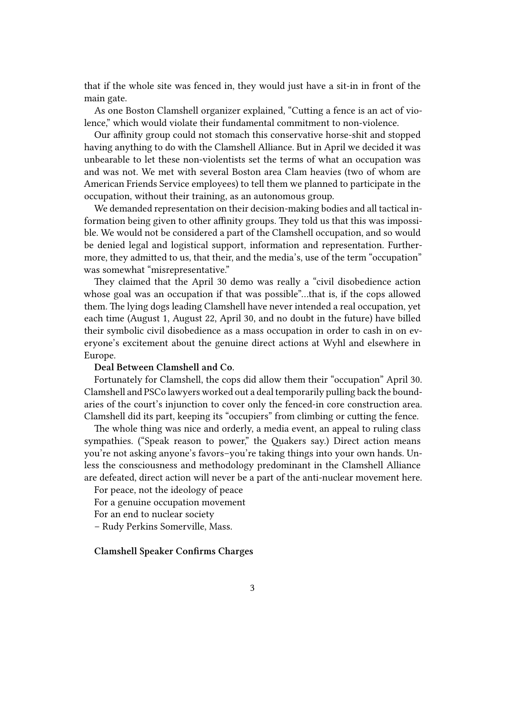that if the whole site was fenced in, they would just have a sit-in in front of the main gate.

As one Boston Clamshell organizer explained, "Cutting a fence is an act of violence," which would violate their fundamental commitment to non-violence.

Our affinity group could not stomach this conservative horse-shit and stopped having anything to do with the Clamshell Alliance. But in April we decided it was unbearable to let these non-violentists set the terms of what an occupation was and was not. We met with several Boston area Clam heavies (two of whom are American Friends Service employees) to tell them we planned to participate in the occupation, without their training, as an autonomous group.

We demanded representation on their decision-making bodies and all tactical information being given to other affinity groups. They told us that this was impossible. We would not be considered a part of the Clamshell occupation, and so would be denied legal and logistical support, information and representation. Furthermore, they admitted to us, that their, and the media's, use of the term "occupation" was somewhat "misrepresentative."

They claimed that the April 30 demo was really a "civil disobedience action whose goal was an occupation if that was possible"...that is, if the cops allowed them. The lying dogs leading Clamshell have never intended a real occupation, yet each time (August 1, August 22, April 30, and no doubt in the future) have billed their symbolic civil disobedience as a mass occupation in order to cash in on everyone's excitement about the genuine direct actions at Wyhl and elsewhere in Europe.

## **Deal Between Clamshell and Co.**

Fortunately for Clamshell, the cops did allow them their "occupation" April 30. Clamshell and PSCo lawyers worked out a deal temporarily pulling back the boundaries of the court's injunction to cover only the fenced-in core construction area. Clamshell did its part, keeping its "occupiers" from climbing or cutting the fence.

The whole thing was nice and orderly, a media event, an appeal to ruling class sympathies. ("Speak reason to power," the Quakers say.) Direct action means you're not asking anyone's favors–you're taking things into your own hands. Unless the consciousness and methodology predominant in the Clamshell Alliance are defeated, direct action will never be a part of the anti-nuclear movement here.

For peace, not the ideology of peace

For a genuine occupation movement

For an end to nuclear society

– Rudy Perkins Somerville, Mass.

## **Clamshell Speaker Confirms Charges**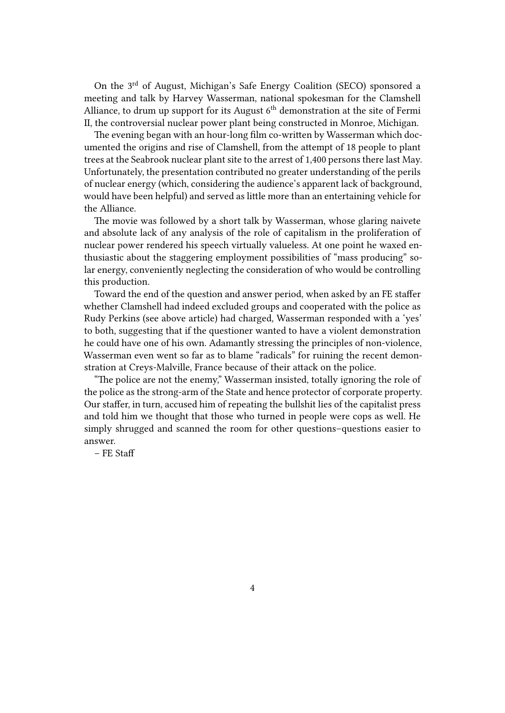On the 3rd of August, Michigan's Safe Energy Coalition (SECO) sponsored a meeting and talk by Harvey Wasserman, national spokesman for the Clamshell Alliance, to drum up support for its August  $6<sup>th</sup>$  demonstration at the site of Fermi II, the controversial nuclear power plant being constructed in Monroe, Michigan.

The evening began with an hour-long film co-written by Wasserman which documented the origins and rise of Clamshell, from the attempt of 18 people to plant trees at the Seabrook nuclear plant site to the arrest of 1,400 persons there last May. Unfortunately, the presentation contributed no greater understanding of the perils of nuclear energy (which, considering the audience's apparent lack of background, would have been helpful) and served as little more than an entertaining vehicle for the Alliance.

The movie was followed by a short talk by Wasserman, whose glaring naivete and absolute lack of any analysis of the role of capitalism in the proliferation of nuclear power rendered his speech virtually valueless. At one point he waxed enthusiastic about the staggering employment possibilities of "mass producing" solar energy, conveniently neglecting the consideration of who would be controlling this production.

Toward the end of the question and answer period, when asked by an FE staffer whether Clamshell had indeed excluded groups and cooperated with the police as Rudy Perkins (see above article) had charged, Wasserman responded with a 'yes' to both, suggesting that if the questioner wanted to have a violent demonstration he could have one of his own. Adamantly stressing the principles of non-violence, Wasserman even went so far as to blame "radicals" for ruining the recent demonstration at Creys-Malville, France because of their attack on the police.

"The police are not the enemy," Wasserman insisted, totally ignoring the role of the police as the strong-arm of the State and hence protector of corporate property. Our staffer, in turn, accused him of repeating the bullshit lies of the capitalist press and told him we thought that those who turned in people were cops as well. He simply shrugged and scanned the room for other questions–questions easier to answer.

– FE Staff